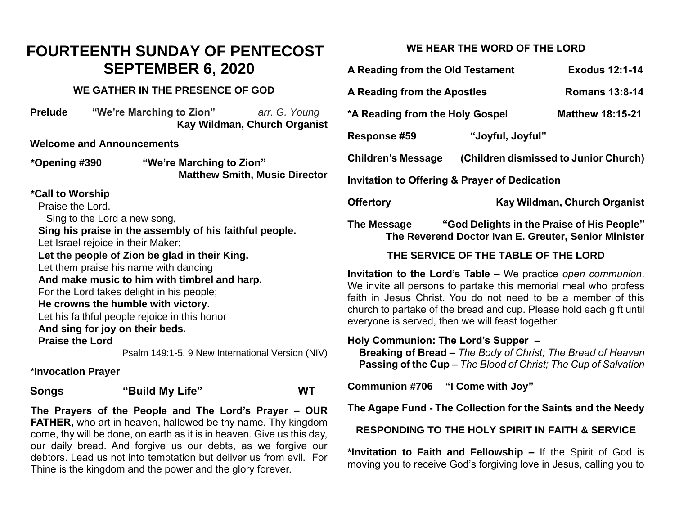# **FOURTEENTH SUNDAY OF PENTECOST SEPTEMBER 6, 2020**

# **WE GATHER IN THE PRESENCE OF GOD**

| <b>Prelude</b> | "We're Marching to Zion" | arr. G. Young                |
|----------------|--------------------------|------------------------------|
|                |                          | Kay Wildman, Church Organist |

### **Welcome and Announcements**

**\*Opening #390 "We're Marching to Zion" Matthew Smith, Music Director** 

**\*Call to Worship**

Praise the Lord.

Sing to the Lord a new song,

**Sing his praise in the assembly of his faithful people.**

Let Israel rejoice in their Maker;

**Let the people of Zion be glad in their King.** Let them praise his name with dancing

**And make music to him with timbrel and harp.**

For the Lord takes delight in his people;

# **He crowns the humble with victory.**

Let his faithful people rejoice in this honor **And sing for joy on their beds.**

**Praise the Lord**

Psalm 149:1-5, 9 New International Version (NIV)

*\****Invocation Prayer** 

**Songs "Build My Life" WT**

**The Prayers of the People and The Lord's Prayer – OUR FATHER,** who art in heaven, hallowed be thy name. Thy kingdom come, thy will be done, on earth as it is in heaven. Give us this day, our daily bread. And forgive us our debts, as we forgive our debtors. Lead us not into temptation but deliver us from evil. For Thine is the kingdom and the power and the glory forever.

# **WE HEAR THE WORD OF THE LORD**

| A Reading from the Old Testament                                                                                  | <b>Exodus 12:1-14</b> |                                       |  |  |
|-------------------------------------------------------------------------------------------------------------------|-----------------------|---------------------------------------|--|--|
| A Reading from the Apostles                                                                                       | <b>Romans 13:8-14</b> |                                       |  |  |
| *A Reading from the Holy Gospel                                                                                   |                       | <b>Matthew 18:15-21</b>               |  |  |
| <b>Response #59</b>                                                                                               | "Joyful, Joyful"      |                                       |  |  |
| Children's Message                                                                                                |                       | (Children dismissed to Junior Church) |  |  |
| <b>Invitation to Offering &amp; Prayer of Dedication</b>                                                          |                       |                                       |  |  |
| <b>Offertory</b>                                                                                                  |                       | Kay Wildman, Church Organist          |  |  |
| "God Delights in the Praise of His People"<br>The Message<br>The Reverend Doctor Ivan E. Greuter, Senior Minister |                       |                                       |  |  |
| THE SERVICE OF THE TABLE OF THE LORD                                                                              |                       |                                       |  |  |

**Invitation to the Lord's Table –** We practice *open communion*. We invite all persons to partake this memorial meal who profess faith in Jesus Christ. You do not need to be a member of this church to partake of the bread and cup. Please hold each gift until everyone is served, then we will feast together.

**Holy Communion: The Lord's Supper – Breaking of Bread –** *The Body of Christ; The Bread of Heaven*  **Passing of the Cup –** *The Blood of Christ; The Cup of Salvation*

**Communion #706 "I Come with Joy"** 

**The Agape Fund - The Collection for the Saints and the Needy**

**RESPONDING TO THE HOLY SPIRIT IN FAITH & SERVICE**

**\*Invitation to Faith and Fellowship –** If the Spirit of God is moving you to receive God's forgiving love in Jesus, calling you to